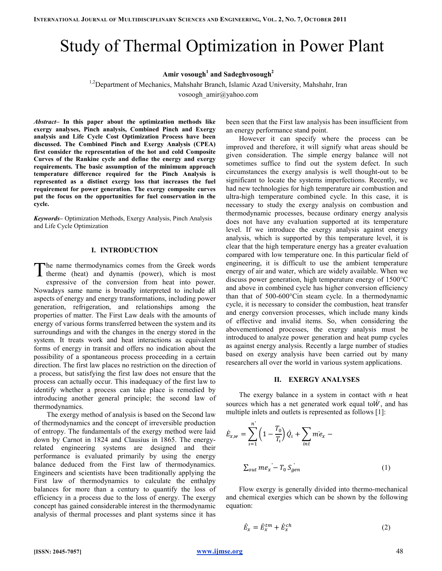# Study of Thermal Optimization in Power Plant

Amir vosough $^{\rm l}$  and Sadeghvosough $^{\rm 2}$ 

<sup>1,2</sup>Department of Mechanics, Mahshahr Branch, Islamic Azad University, Mahshahr, Iran vosoogh\_amir@yahoo.com

Abstract– In this paper about the optimization methods like exergy analyses, Pinch analysis, Combined Pinch and Exergy analysis and Life Cycle Cost Optimization Process have been discussed. The Combined Pinch and Exergy Analysis (CPEA) first consider the representation of the hot and cold Composite Curves of the Rankine cycle and define the energy and exergy requirements. The basic assumption of the minimum approach temperature difference required for the Pinch Analysis is represented as a distinct exergy loss that increases the fuel requirement for power generation. The exergy composite curves put the focus on the opportunities for fuel conservation in the cycle.

Keywords– Optimization Methods, Exergy Analysis, Pinch Analysis and Life Cycle Optimization

# I. INTRODUCTION

he name thermodynamics comes from the Greek words The name thermodynamics comes from the Greek words<br>therme (heat) and dynamis (power), which is most expressive of the conversion from heat into power. Nowadays same name is broadly interpreted to include all aspects of energy and energy transformations, including power generation, refrigeration, and relationships among the properties of matter. The First Law deals with the amounts of energy of various forms transferred between the system and its surroundings and with the changes in the energy stored in the system. It treats work and heat interactions as equivalent forms of energy in transit and offers no indication about the possibility of a spontaneous process proceeding in a certain direction. The first law places no restriction on the direction of a process, but satisfying the first law does not ensure that the process can actually occur. This inadequacy of the first law to identify whether a process can take place is remedied by introducing another general principle; the second law of thermodynamics.

The exergy method of analysis is based on the Second law of thermodynamics and the concept of irreversible production of entropy. The fundamentals of the exergy method were laid down by Carnot in 1824 and Clausius in 1865. The energyrelated engineering systems are designed and their performance is evaluated primarily by using the energy balance deduced from the First law of thermodynamics. Engineers and scientists have been traditionally applying the First law of thermodynamics to calculate the enthalpy balances for more than a century to quantify the loss of efficiency in a process due to the loss of energy. The exergy concept has gained considerable interest in the thermodynamic analysis of thermal processes and plant systems since it has

been seen that the First law analysis has been insufficient from an energy performance stand point.

However it can specify where the process can be improved and therefore, it will signify what areas should be given consideration. The simple energy balance will not sometimes suffice to find out the system defect. In such circumstances the exergy analysis is well thought-out to be significant to locate the systems imperfections. Recently, we had new technologies for high temperature air combustion and ultra-high temperature combined cycle. In this case, it is necessary to study the exergy analysis on combustion and thermodynamic processes, because ordinary energy analysis does not have any evaluation supported at its temperature level. If we introduce the exergy analysis against energy analysis, which is supported by this temperature level, it is clear that the high temperature energy has a greater evaluation compared with low temperature one. In this particular field of engineering, it is difficult to use the ambient temperature energy of air and water, which are widely available. When we discuss power generation, high temperature energy of 1500°C and above in combined cycle has higher conversion efficiency than that of 500-600°Cin steam cycle. In a thermodynamic cycle, it is necessary to consider the combustion, heat transfer and energy conversion processes, which include many kinds of effective and invalid items. So, when considering the abovementioned processes, the exergy analysis must be introduced to analyze power generation and heat pump cycles as against energy analysis. Recently a large number of studies based on exergy analysis have been carried out by many researchers all over the world in various system applications.

## II. EXERGY ANALYSES

The exergy balance in a system in contact with  $n$  heat sources which has a net generated work equal to  $\dot{W}$ , and has multiple inlets and outlets is represented as follows [1]:

$$
\dot{E}_{x,w} = \sum_{i=1}^{n} \left( 1 - \frac{T_0}{T_i} \right) \dot{Q}_i + \sum_{int} m \dot{e}_x - \sum_{out} m e_x - T_0 S_{gen}
$$
 (1)

Flow exergy is generally divided into thermo-mechanical and chemical exergies which can be shown by the following equation:

$$
\dot{E}_x = \dot{E}_x^{tm} + \dot{E}_x^{ch} \tag{2}
$$

 $\ddot{ }$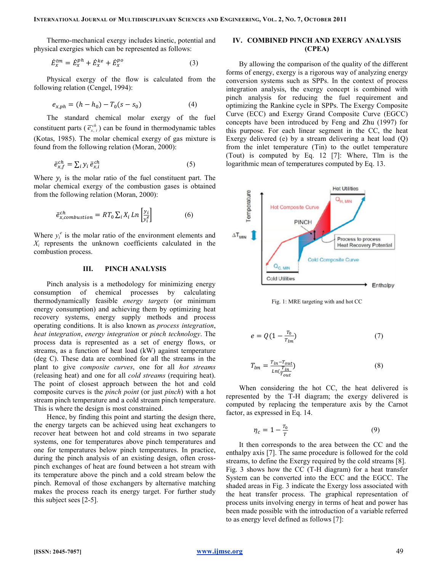Thermo-mechanical exergy includes kinetic, potential and physical exergies which can be represented as follows:

$$
\dot{E}_x^{tm} = \dot{E}_x^{ph} + \dot{E}_x^{ke} + \dot{E}_x^{po} \tag{3}
$$

Physical exergy of the flow is calculated from the following relation (Cengel, 1994):

$$
e_{x,ph} = (h - h_0) - T_0(s - s_0)
$$
 (4)

The standard chemical molar exergy of the fuel constituent parts ( $\overline{e}_{x,i}^{ch}$ ) can be found in thermodynamic tables (Kotas, 1985). The molar chemical exergy of gas mixture is found from the following relation (Moran, 2000):

$$
\bar{e}_{x,f}^{ch} = \sum_{i} y_i \, \bar{e}_{x,i}^{ch} \tag{5}
$$

Where  $y_i$  is the molar ratio of the fuel constituent part. The molar chemical exergy of the combustion gases is obtained from the following relation (Moran, 2000):

$$
\bar{e}_{x, combination}^{ch} = RT_0 \sum_{i} X_i Ln\left[\frac{y_i}{y_i^e}\right]
$$
 (6)

Where  $y_i^e$  is the molar ratio of the environment elements and  $X_i$  represents the unknown coefficients calculated in the combustion process.

#### III. PINCH ANALYSIS

Pinch analysis is a methodology for minimizing energy consumption of chemical processes by calculating thermodynamically feasible energy targets (or minimum energy consumption) and achieving them by optimizing heat recovery systems, energy supply methods and process operating conditions. It is also known as process integration, heat integration, energy integration or pinch technology. The process data is represented as a set of energy flows, or streams, as a function of heat load (kW) against temperature (deg C). These data are combined for all the streams in the plant to give composite curves, one for all hot streams (releasing heat) and one for all cold streams (requiring heat). The point of closest approach between the hot and cold composite curves is the pinch point (or just pinch) with a hot stream pinch temperature and a cold stream pinch temperature. This is where the design is most constrained.

Hence, by finding this point and starting the design there, the energy targets can be achieved using heat exchangers to recover heat between hot and cold streams in two separate systems, one for temperatures above pinch temperatures and one for temperatures below pinch temperatures. In practice, during the pinch analysis of an existing design, often crosspinch exchanges of heat are found between a hot stream with its temperature above the pinch and a cold stream below the pinch. Removal of those exchangers by alternative matching makes the process reach its energy target. For further study this subject sees [2-5].

# IV. COMBINED PINCH AND EXERGY ANALYSIS (CPEA)

By allowing the comparison of the quality of the different forms of energy, exergy is a rigorous way of analyzing energy conversion systems such as SPPs. In the context of process integration analysis, the exergy concept is combined with pinch analysis for reducing the fuel requirement and optimizing the Rankine cycle in SPPs. The Exergy Composite Curve (ECC) and Exergy Grand Composite Curve (EGCC) concepts have been introduced by Feng and Zhu (1997) for this purpose. For each linear segment in the CC, the heat Exergy delivered (e) by a stream delivering a heat load (Q) from the inlet temperature (Tin) to the outlet temperature (Tout) is computed by Eq. 12 [7]: Where, Tlm is the logarithmic mean of temperatures computed by Eq. 13.





$$
e = Q\left(1 - \frac{T_0}{T_{lm}}\right) \tag{7}
$$

$$
T_{lm} = \frac{T_{in} - T_{out}}{Ln(\frac{T_{in}}{T_{out}})}
$$
\n(8)

When considering the hot CC, the heat delivered is represented by the T-H diagram; the exergy delivered is computed by replacing the temperature axis by the Carnot factor, as expressed in Eq. 14.

$$
\eta_c = 1 - \frac{r_0}{r} \tag{9}
$$

It then corresponds to the area between the CC and the enthalpy axis [7]. The same procedure is followed for the cold streams, to define the Exergy required by the cold streams [8]. Fig. 3 shows how the CC (T-H diagram) for a heat transfer System can be converted into the ECC and the EGCC. The shaded areas in Fig. 3 indicate the Exergy loss associated with the heat transfer process. The graphical representation of process units involving energy in terms of heat and power has been made possible with the introduction of a variable referred to as energy level defined as follows [7]: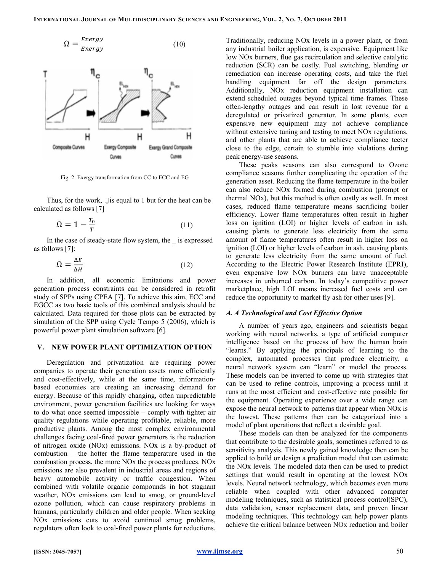$$
\Omega = \frac{Exergy}{Energy}
$$
 (10)



Fig. 2: Exergy transformation from CC to ECC and EG

Thus, for the work,  $\Box$  is equal to 1 but for the heat can be calculated as follows [7]

$$
\Omega = 1 - \frac{T_0}{T} \tag{11}
$$

In the case of steady-state flow system, the \_ is expressed as follows [7]:

$$
\Omega = \frac{\Delta E}{\Delta H} \tag{12}
$$

In addition, all economic limitations and power generation process constraints can be considered in retrofit study of SPPs using CPEA [7]. To achieve this aim, ECC and EGCC as two basic tools of this combined analysis should be calculated. Data required for those plots can be extracted by simulation of the SPP using Cycle Tempo 5 (2006), which is powerful power plant simulation software [6].

#### V. NEW POWER PLANT OPTIMIZATION OPTION

Deregulation and privatization are requiring power companies to operate their generation assets more efficiently and cost-effectively, while at the same time, informationbased economies are creating an increasing demand for energy. Because of this rapidly changing, often unpredictable environment, power generation facilities are looking for ways to do what once seemed impossible – comply with tighter air quality regulations while operating profitable, reliable, more productive plants. Among the most complex environmental challenges facing coal-fired power generators is the reduction of nitrogen oxide (NOx) emissions. NOx is a by-product of combustion – the hotter the flame temperature used in the combustion process, the more NOx the process produces. NOx emissions are also prevalent in industrial areas and regions of heavy automobile activity or traffic congestion. When combined with volatile organic compounds in hot stagnant weather, NOx emissions can lead to smog, or ground-level ozone pollution, which can cause respiratory problems in humans, particularly children and older people. When seeking NOx emissions cuts to avoid continual smog problems, regulators often look to coal-fired power plants for reductions.

Traditionally, reducing NOx levels in a power plant, or from any industrial boiler application, is expensive. Equipment like low NOx burners, flue gas recirculation and selective catalytic reduction (SCR) can be costly. Fuel switching, blending or remediation can increase operating costs, and take the fuel handling equipment far off the design parameters. Additionally, NOx reduction equipment installation can extend scheduled outages beyond typical time frames. These often-lengthy outages and can result in lost revenue for a deregulated or privatized generator. In some plants, even expensive new equipment may not achieve compliance without extensive tuning and testing to meet NOx regulations, and other plants that are able to achieve compliance teeter close to the edge, certain to stumble into violations during peak energy-use seasons.

These peaks seasons can also correspond to Ozone compliance seasons further complicating the operation of the generation asset. Reducing the flame temperature in the boiler can also reduce NOx formed during combustion (prompt or thermal NOx), but this method is often costly as well. In most cases, reduced flame temperature means sacrificing boiler efficiency. Lower flame temperatures often result in higher loss on ignition (LOI) or higher levels of carbon in ash, causing plants to generate less electricity from the same amount of flame temperatures often result in higher loss on ignition (LOI) or higher levels of carbon in ash, causing plants to generate less electricity from the same amount of fuel. According to the Electric Power Research Institute (EPRI), even expensive low NOx burners can have unacceptable increases in unburned carbon. In today's competitive power marketplace, high LOI means increased fuel costs and can reduce the opportunity to market fly ash for other uses [9].

#### A. A Technological and Cost Effective Option

A number of years ago, engineers and scientists began working with neural networks, a type of artificial computer intelligence based on the process of how the human brain "learns." By applying the principals of learning to the complex, automated processes that produce electricity, a neural network system can "learn" or model the process. These models can be inverted to come up with strategies that can be used to refine controls, improving a process until it runs at the most efficient and cost-effective rate possible for the equipment. Operating experience over a wide range can expose the neural network to patterns that appear when NOx is the lowest. These patterns then can be categorized into a model of plant operations that reflect a desirable goal.

These models can then be analyzed for the components that contribute to the desirable goals, sometimes referred to as sensitivity analysis. This newly gained knowledge then can be applied to build or design a prediction model that can estimate the NOx levels. The modeled data then can be used to predict settings that would result in operating at the lowest NOx levels. Neural network technology, which becomes even more reliable when coupled with other advanced computer modeling techniques, such as statistical process control(SPC), data validation, sensor replacement data, and proven linear modeling techniques. This technology can help power plants achieve the critical balance between NOx reduction and boiler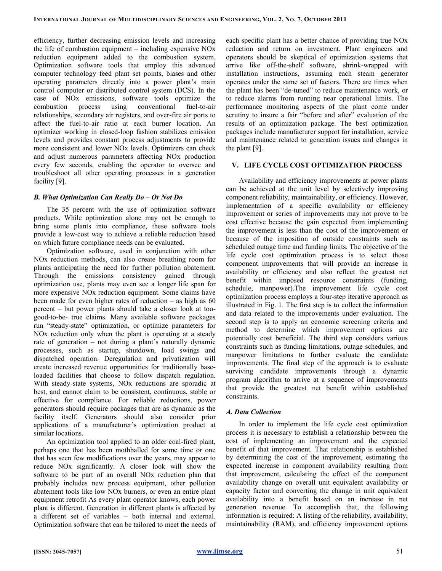efficiency, further decreasing emission levels and increasing the life of combustion equipment – including expensive NOx reduction equipment added to the combustion system. Optimization software tools that employ this advanced computer technology feed plant set points, biases and other operating parameters directly into a power plant's main control computer or distributed control system (DCS). In the case of NOx emissions, software tools optimize the combustion process using conventional fuel-to-air relationships, secondary air registers, and over-fire air ports to affect the fuel-to-air ratio at each burner location. An optimizer working in closed-loop fashion stabilizes emission levels and provides constant process adjustments to provide more consistent and lower NOx levels. Optimizers can check and adjust numerous parameters affecting NOx production every few seconds, enabling the operator to oversee and troubleshoot all other operating processes in a generation facility [9].

# B. What Optimization Can Really Do – Or Not Do

The 35 percent with the use of optimization software products. While optimization alone may not be enough to bring some plants into compliance, these software tools provide a low-cost way to achieve a reliable reduction based on which future compliance needs can be evaluated.

Optimization software, used in conjunction with other NOx reduction methods, can also create breathing room for plants anticipating the need for further pollution abatement. Through the emissions consistency gained through optimization use, plants may even see a longer life span for more expensive NOx reduction equipment. Some claims have been made for even higher rates of reduction – as high as 60 percent – but power plants should take a closer look at toogood-to-be- true claims. Many available software packages run "steady-state" optimization, or optimize parameters for NOx reduction only when the plant is operating at a steady rate of generation – not during a plant's naturally dynamic processes, such as startup, shutdown, load swings and dispatched operation. Deregulation and privatization will create increased revenue opportunities for traditionally baseloaded facilities that choose to follow dispatch regulation. With steady-state systems, NOx reductions are sporadic at best, and cannot claim to be consistent, continuous, stable or effective for compliance. For reliable reductions, power generators should require packages that are as dynamic as the facility itself. Generators should also consider prior applications of a manufacturer's optimization product at similar locations.

An optimization tool applied to an older coal-fired plant, perhaps one that has been mothballed for some time or one that has seen few modifications over the years, may appear to reduce NOx significantly. A closer look will show the software to be part of an overall NOx reduction plan that probably includes new process equipment, other pollution abatement tools like low NOx burners, or even an entire plant equipment retrofit As every plant operator knows, each power plant is different. Generation in different plants is affected by a different set of variables – both internal and external. Optimization software that can be tailored to meet the needs of each specific plant has a better chance of providing true NOx reduction and return on investment. Plant engineers and operators should be skeptical of optimization systems that arrive like off-the-shelf software, shrink-wrapped with installation instructions, assuming each steam generator operates under the same set of factors. There are times when the plant has been "de-tuned" to reduce maintenance work, or to reduce alarms from running near operational limits. The performance monitoring aspects of the plant come under scrutiny to insure a fair "before and after" evaluation of the results of an optimization package. The best optimization packages include manufacturer support for installation, service and maintenance related to generation issues and changes in the plant [9].

## V. LIFE CYCLE COST OPTIMIZATION PROCESS

Availability and efficiency improvements at power plants can be achieved at the unit level by selectively improving component reliability, maintainability, or efficiency. However, implementation of a specific availability or efficiency improvement or series of improvements may not prove to be cost effective because the gain expected from implementing the improvement is less than the cost of the improvement or because of the imposition of outside constraints such as scheduled outage time and funding limits. The objective of the life cycle cost optimization process is to select those component improvements that will provide an increase in availability or efficiency and also reflect the greatest net benefit within imposed resource constraints (funding, schedule, manpower).The improvement life cycle cost optimization process employs a four-step iterative approach as illustrated in Fig. 1. The first step is to collect the information and data related to the improvements under evaluation. The second step is to apply an economic screening criteria and method to determine which improvement options are potentially cost beneficial. The third step considers various constraints such as funding limitations, outage schedules, and manpower limitations to further evaluate the candidate improvements. The final step of the approach is to evaluate surviving candidate improvements through a dynamic program algorithm to arrive at a sequence of improvements that provide the greatest net benefit within established constraints.

# A. Data Collection

In order to implement the life cycle cost optimization process it is necessary to establish a relationship between the cost of implementing an improvement and the expected benefit of that improvement. That relationship is established by determining the cost of the improvement, estimating the expected increase in component availability resulting from that improvement, calculating the effect of the component availability change on overall unit equivalent availability or capacity factor and converting the change in unit equivalent availability into a benefit based on an increase in net generation revenue. To accomplish that, the following information is required: A listing of the reliability, availability, maintainability (RAM), and efficiency improvement options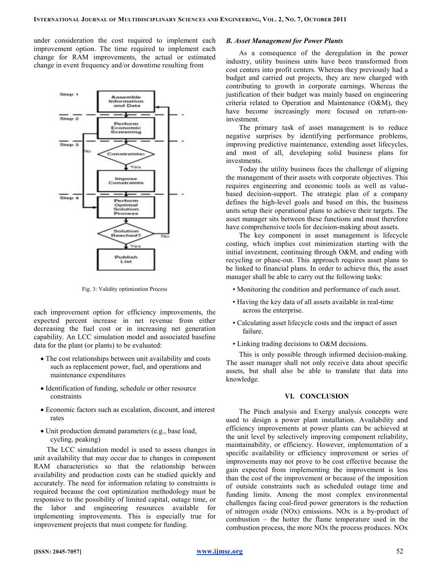under consideration the cost required to implement each improvement option. The time required to implement each change for RAM improvements, the actual or estimated change in event frequency and/or downtime resulting from



Fig. 3: Validity optimization Process

each improvement option for efficiency improvements, the expected percent increase in net revenue from either decreasing the fuel cost or in increasing net generation capability. An LCC simulation model and associated baseline data for the plant (or plants) to be evaluated:

- The cost relationships between unit availability and costs such as replacement power, fuel, and operations and maintenance expenditures
- Identification of funding, schedule or other resource constraints
- Economic factors such as escalation, discount, and interest rates
- Unit production demand parameters (e.g., base load, cycling, peaking)

The LCC simulation model is used to assess changes in unit availability that may occur due to changes in component RAM characteristics so that the relationship between availability and production costs can be studied quickly and accurately. The need for information relating to constraints is required because the cost optimization methodology must be responsive to the possibility of limited capital, outage time, or the labor and engineering resources available for implementing improvements. This is especially true for improvement projects that must compete for funding.

#### B. Asset Management for Power Plants

As a consequence of the deregulation in the power industry, utility business units have been transformed from cost centers into profit centers. Whereas they previously had a budget and carried out projects, they are now charged with contributing to growth in corporate earnings. Whereas the justification of their budget was mainly based on engineering criteria related to Operation and Maintenance (O&M), they have become increasingly more focused on return-oninvestment.

The primary task of asset management is to reduce negative surprises by identifying performance problems, improving predictive maintenance, extending asset lifecycles, and most of all, developing solid business plans for investments.

Today the utility business faces the challenge of aligning the management of their assets with corporate objectives. This requires engineering and economic tools as well as valuebased decision-support. The strategic plan of a company defines the high-level goals and based on this, the business units setup their operational plans to achieve their targets. The asset manager sits between these functions and must therefore have comprehensive tools for decision-making about assets.

The key component in asset management is lifecycle costing, which implies cost minimization starting with the initial investment, continuing through O&M, and ending with recycling or phase-out. This approach requires asset plans to be linked to financial plans. In order to achieve this, the asset manager shall be able to carry out the following tasks:

- Monitoring the condition and performance of each asset.
- Having the key data of all assets available in real-time across the enterprise.
- Calculating asset lifecycle costs and the impact of asset failure.
- Linking trading decisions to O&M decisions.

This is only possible through informed decision-making. The asset manager shall not only receive data about specific assets, but shall also be able to translate that data into knowledge.

## VI. CONCLUSION

The Pinch analysis and Exergy analysis concepts were used to design a power plant installation. Availability and efficiency improvements at power plants can be achieved at the unit level by selectively improving component reliability, maintainability, or efficiency. However, implementation of a specific availability or efficiency improvement or series of improvements may not prove to be cost effective because the gain expected from implementing the improvement is less than the cost of the improvement or because of the imposition of outside constraints such as scheduled outage time and funding limits. Among the most complex environmental challenges facing coal-fired power generators is the reduction of nitrogen oxide (NOx) emissions. NOx is a by-product of combustion – the hotter the flame temperature used in the combustion process, the more NOx the process produces. NOx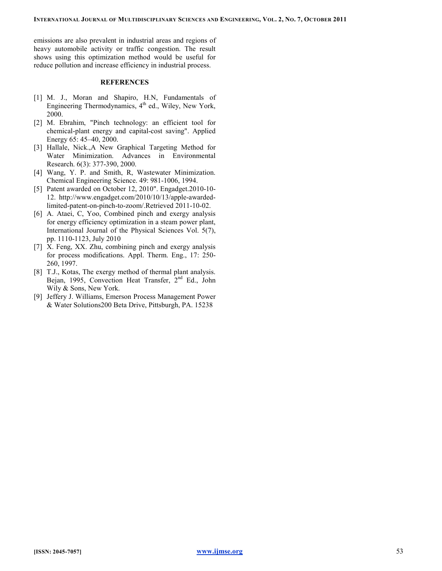emissions are also prevalent in industrial areas and regions of heavy automobile activity or traffic congestion. The result shows using this optimization method would be useful for reduce pollution and increase efficiency in industrial process.

# **REFERENCES**

- [1] M. J., Moran and Shapiro, H.N, Fundamentals of Engineering Thermodynamics, 4<sup>th</sup> ed., Wiley, New York, 2000.
- [2] M. Ebrahim, "Pinch technology: an efficient tool for chemical-plant energy and capital-cost saving". Applied Energy 65: 45–40, 2000.
- [3] Hallale, Nick.,A New Graphical Targeting Method for Water Minimization. Advances in Environmental Research. 6(3): 377-390, 2000.
- [4] Wang, Y. P. and Smith, R, Wastewater Minimization. Chemical Engineering Science. 49: 981-1006, 1994.
- [5] Patent awarded on October 12, 2010". Engadget.2010-10- 12. http://www.engadget.com/2010/10/13/apple-awardedlimited-patent-on-pinch-to-zoom/.Retrieved 2011-10-02.
- [6] A. Ataei, C, Yoo, Combined pinch and exergy analysis for energy efficiency optimization in a steam power plant, International Journal of the Physical Sciences Vol. 5(7), pp. 1110-1123, July 2010
- [7] X. Feng, XX. Zhu, combining pinch and exergy analysis for process modifications. Appl. Therm. Eng., 17: 250- 260, 1997.
- [8] T.J., Kotas, The exergy method of thermal plant analysis. Bejan, 1995, Convection Heat Transfer, 2<sup>nd</sup> Ed., John Wily & Sons, New York.
- [9] Jeffery J. Williams, Emerson Process Management Power & Water Solutions200 Beta Drive, Pittsburgh, PA. 15238